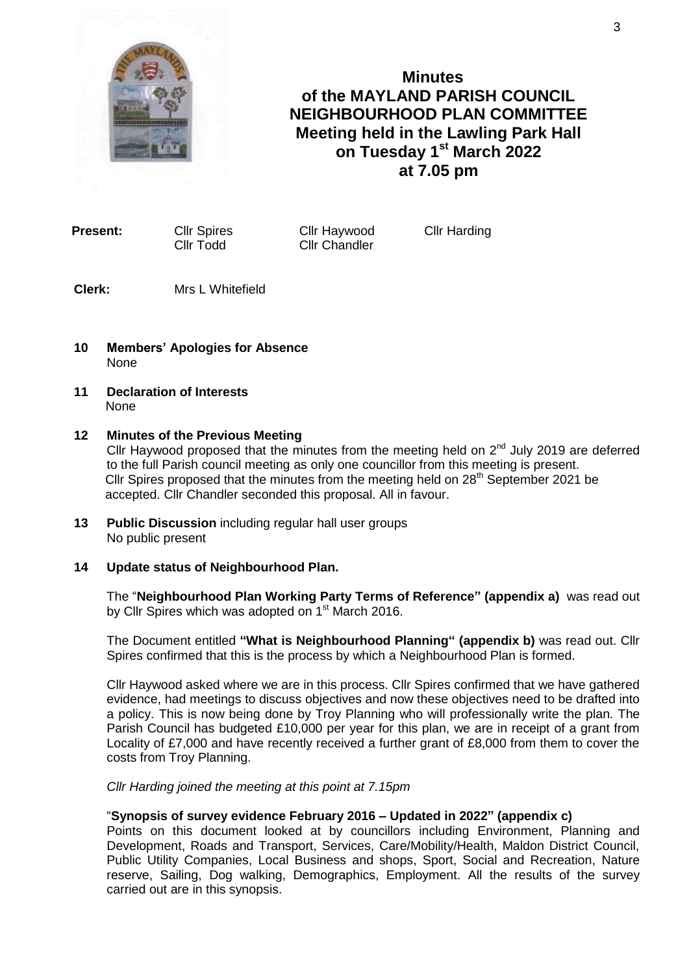

**Minutes of the MAYLAND PARISH COUNCIL NEIGHBOURHOOD PLAN COMMITTEE Meeting held in the Lawling Park Hall on Tuesday 1 st March 2022 at 7.05 pm**

Cllr Todd Cllr Chandler

**Present:** Cllr Spires Cllr Haywood Cllr Harding

**Clerk:** Mrs L Whitefield

- **10 Members' Apologies for Absence** None
- **11 Declaration of Interests None**

#### **12 Minutes of the Previous Meeting**

Cllr Haywood proposed that the minutes from the meeting held on  $2^{nd}$  July 2019 are deferred to the full Parish council meeting as only one councillor from this meeting is present. Cllr Spires proposed that the minutes from the meeting held on  $28<sup>th</sup>$  September 2021 be accepted. Cllr Chandler seconded this proposal. All in favour.

- **13 Public Discussion** including regular hall user groups No public present
- **14 Update status of Neighbourhood Plan.**

The "**Neighbourhood Plan Working Party Terms of Reference" (appendix a)** was read out by Cllr Spires which was adopted on 1<sup>st</sup> March 2016.

The Document entitled **"What is Neighbourhood Planning" (appendix b)** was read out. Cllr Spires confirmed that this is the process by which a Neighbourhood Plan is formed.

Cllr Haywood asked where we are in this process. Cllr Spires confirmed that we have gathered evidence, had meetings to discuss objectives and now these objectives need to be drafted into a policy. This is now being done by Troy Planning who will professionally write the plan. The Parish Council has budgeted £10,000 per year for this plan, we are in receipt of a grant from Locality of £7,000 and have recently received a further grant of £8,000 from them to cover the costs from Troy Planning.

*Cllr Harding joined the meeting at this point at 7.15pm*

# "**Synopsis of survey evidence February 2016 – Updated in 2022" (appendix c)**

Points on this document looked at by councillors including Environment, Planning and Development, Roads and Transport, Services, Care/Mobility/Health, Maldon District Council, Public Utility Companies, Local Business and shops, Sport, Social and Recreation, Nature reserve, Sailing, Dog walking, Demographics, Employment. All the results of the survey carried out are in this synopsis.